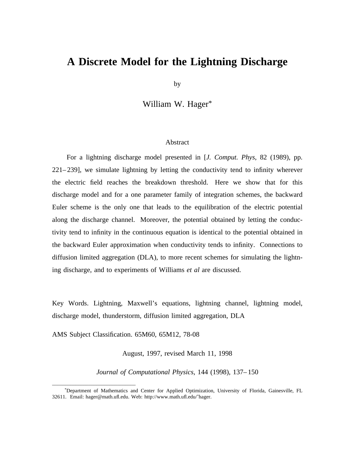# **A Discrete Model for the Lightning Discharge**

by

William W. Hager\*

#### Abstract

For a lightning discharge model presented in [*J. Comput. Phys*, 82 (1989), pp. 221–239], we simulate lightning by letting the conductivity tend to infinity wherever the electric field reaches the breakdown threshold. Here we show that for this discharge model and for a one parameter family of integration schemes, the backward Euler scheme is the only one that leads to the equilibration of the electric potential along the discharge channel. Moreover, the potential obtained by letting the conductivity tend to infinity in the continuous equation is identical to the potential obtained in the backward Euler approximation when conductivity tends to infinity. Connections to diffusion limited aggregation (DLA), to more recent schemes for simulating the lightning discharge, and to experiments of Williams *et al* are discussed.

Key Words. Lightning, Maxwell's equations, lightning channel, lightning model, discharge model, thunderstorm, diffusion limited aggregation, DLA

AMS Subject Classification. 65M60, 65M12, 78-08

\_\_\_\_\_\_\_\_\_\_\_\_\_\_\_\_\_\_\_\_\_\_\_\_\_\_\_\_\_\_\_\_

August, 1997, revised March 11, 1998

*Journal of Computational Physics*, 144 (1998), 137–150

<sup>\*</sup>Department of Mathematics and Center for Applied Optimization, University of Florida, Gainesville, FL 32611. Email: hager@math.ufl.edu. Web: http://www.math.ufl.edu/˜hager.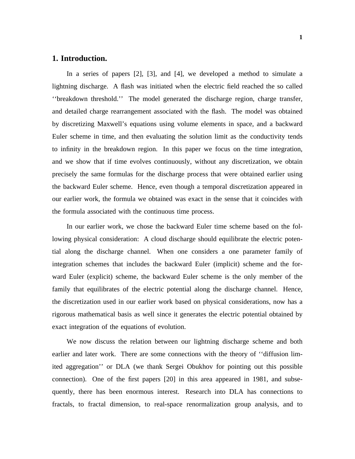### **1. Introduction.**

In a series of papers [2], [3], and [4], we developed a method to simulate a lightning discharge. A flash was initiated when the electric field reached the so called ''breakdown threshold.'' The model generated the discharge region, charge transfer, and detailed charge rearrangement associated with the flash. The model was obtained by discretizing Maxwell's equations using volume elements in space, and a backward Euler scheme in time, and then evaluating the solution limit as the conductivity tends to infinity in the breakdown region. In this paper we focus on the time integration, and we show that if time evolves continuously, without any discretization, we obtain precisely the same formulas for the discharge process that were obtained earlier using the backward Euler scheme. Hence, even though a temporal discretization appeared in our earlier work, the formula we obtained was exact in the sense that it coincides with the formula associated with the continuous time process.

In our earlier work, we chose the backward Euler time scheme based on the following physical consideration: A cloud discharge should equilibrate the electric potential along the discharge channel. When one considers a one parameter family of integration schemes that includes the backward Euler (implicit) scheme and the forward Euler (explicit) scheme, the backward Euler scheme is the only member of the family that equilibrates of the electric potential along the discharge channel. Hence, the discretization used in our earlier work based on physical considerations, now has a rigorous mathematical basis as well since it generates the electric potential obtained by exact integration of the equations of evolution.

We now discuss the relation between our lightning discharge scheme and both earlier and later work. There are some connections with the theory of ''diffusion limited aggregation'' or DLA (we thank Sergei Obukhov for pointing out this possible connection). One of the first papers [20] in this area appeared in 1981, and subsequently, there has been enormous interest. Research into DLA has connections to fractals, to fractal dimension, to real-space renormalization group analysis, and to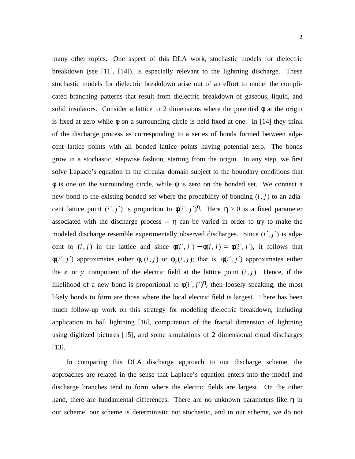many other topics. One aspect of this DLA work, stochastic models for dielectric breakdown (see [11], [14]), is especially relevant to the lightning discharge. These stochastic models for dielectric breakdown arise out of an effort to model the complicated branching patterns that result from dielectric breakdown of gaseous, liquid, and solid insulators. Consider a lattice in 2 dimensions where the potential  $\phi$  at the origin is fixed at zero while  $\phi$  on a surrounding circle is held fixed at one. In [14] they think of the discharge process as corresponding to a series of bonds formed between adjacent lattice points with all bonded lattice points having potential zero. The bonds grow in a stochastic, stepwise fashion, starting from the origin. In any step, we first solve Laplace's equation in the circular domain subject to the boundary conditions that  $\phi$  is one on the surrounding circle, while  $\phi$  is zero on the bonded set. We connect a new bond to the existing bonded set where the probability of bonding  $(i, j)$  to an adjacent lattice point  $(i', j')$  is proportion to  $\phi(i', j')^{\eta}$ . Here  $\eta > 0$  is a fixed parameter associated with the discharge process  $- \eta$  can be varied in order to try to make the modeled discharge resemble experimentally observed discharges. Since  $(i', j')$  is adjacent to  $(i, j)$  in the lattice and since  $\phi(i', j') - \phi(i, j) = \phi(i', j')$ , it follows that φ(*i'*, *j'*) approximates either  $φ_x(i,j)$  or  $φ_y(i,j)$ ; that is,  $φ(i',j')$  approximates either the *x* or *y* component of the electric field at the lattice point  $(i, j)$ . Hence, if the likelihood of a new bond is proportional to  $\phi(i',j')^{\eta}$ , then loosely speaking, the most likely bonds to form are those where the local electric field is largest. There has been much follow-up work on this strategy for modeling dielectric breakdown, including application to ball lightning [16], computation of the fractal dimension of lightning using digitized pictures [15], and some simulations of 2 dimensional cloud discharges [13].

In comparing this DLA discharge approach to our discharge scheme, the approaches are related in the sense that Laplace's equation enters into the model and discharge branches tend to form where the electric fields are largest. On the other hand, there are fundamental differences. There are no unknown parameters like  $\eta$  in our scheme, our scheme is deterministic not stochastic, and in our scheme, we do not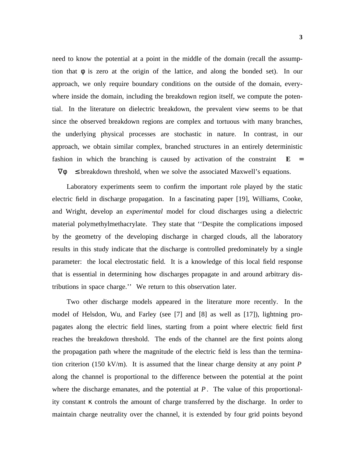need to know the potential at a point in the middle of the domain (recall the assumption that  $\phi$  is zero at the origin of the lattice, and along the bonded set). In our approach, we only require boundary conditions on the outside of the domain, everywhere inside the domain, including the breakdown region itself, we compute the potential. In the literature on dielectric breakdown, the prevalent view seems to be that since the observed breakdown regions are complex and tortuous with many branches, the underlying physical processes are stochastic in nature. In contrast, in our approach, we obtain similar complex, branched structures in an entirely deterministic fashion in which the branching is caused by activation of the constraint  $\mathbf{E}$  =  $|\nabla \phi| \leq$  breakdown threshold, when we solve the associated Maxwell's equations.

Laboratory experiments seem to confirm the important role played by the static electric field in discharge propagation. In a fascinating paper [19], Williams, Cooke, and Wright, develop an *experimental* model for cloud discharges using a dielectric material polymethylmethacrylate. They state that ''Despite the complications imposed by the geometry of the developing discharge in charged clouds, all the laboratory results in this study indicate that the discharge is controlled predominately by a single parameter: the local electrostatic field. It is a knowledge of this local field response that is essential in determining how discharges propagate in and around arbitrary distributions in space charge.'' We return to this observation later.

Two other discharge models appeared in the literature more recently. In the model of Helsdon, Wu, and Farley (see [7] and [8] as well as [17]), lightning propagates along the electric field lines, starting from a point where electric field first reaches the breakdown threshold. The ends of the channel are the first points along the propagation path where the magnitude of the electric field is less than the termination criterion (150 kV/m). It is assumed that the linear charge density at any point  $P$ along the channel is proportional to the difference between the potential at the point where the discharge emanates, and the potential at  $P$ . The value of this proportionality constant κ controls the amount of charge transferred by the discharge. In order to maintain charge neutrality over the channel, it is extended by four grid points beyond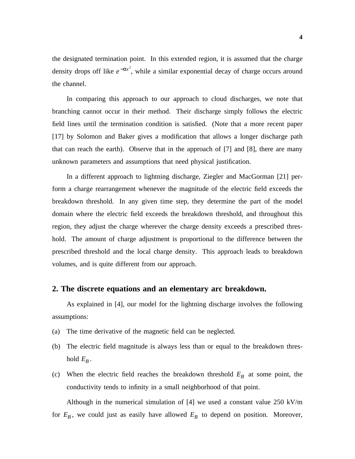the designated termination point. In this extended region, it is assumed that the charge density drops off like  $e^{-\alpha x^2}$ , while a similar exponential decay of charge occurs around the channel.

In comparing this approach to our approach to cloud discharges, we note that branching cannot occur in their method. Their discharge simply follows the electric field lines until the termination condition is satisfied. (Note that a more recent paper [17] by Solomon and Baker gives a modification that allows a longer discharge path that can reach the earth). Observe that in the approach of [7] and [8], there are many unknown parameters and assumptions that need physical justification.

In a different approach to lightning discharge, Ziegler and MacGorman [21] perform a charge rearrangement whenever the magnitude of the electric field exceeds the breakdown threshold. In any given time step, they determine the part of the model domain where the electric field exceeds the breakdown threshold, and throughout this region, they adjust the charge wherever the charge density exceeds a prescribed threshold. The amount of charge adjustment is proportional to the difference between the prescribed threshold and the local charge density. This approach leads to breakdown volumes, and is quite different from our approach.

### **2. The discrete equations and an elementary arc breakdown.**

As explained in [4], our model for the lightning discharge involves the following assumptions:

- (a) The time derivative of the magnetic field can be neglected.
- (b) The electric field magnitude is always less than or equal to the breakdown threshold  $E_B$ .
- (c) When the electric field reaches the breakdown threshold  $E_B$  at some point, the conductivity tends to infinity in a small neighborhood of that point.

Although in the numerical simulation of [4] we used a constant value 250 kV/m for  $E_B$ , we could just as easily have allowed  $E_B$  to depend on position. Moreover,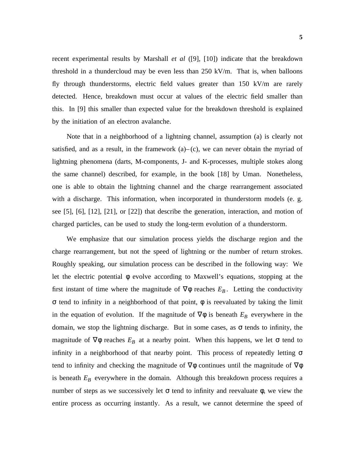recent experimental results by Marshall *et al* ([9], [10]) indicate that the breakdown threshold in a thundercloud may be even less than 250 kV/m. That is, when balloons fly through thunderstorms, electric field values greater than 150 kV/m are rarely detected. Hence, breakdown must occur at values of the electric field smaller than this. In [9] this smaller than expected value for the breakdown threshold is explained by the initiation of an electron avalanche.

Note that in a neighborhood of a lightning channel, assumption (a) is clearly not satisfied, and as a result, in the framework  $(a)$ – $(c)$ , we can never obtain the myriad of lightning phenomena (darts, M-components, J- and K-processes, multiple stokes along the same channel) described, for example, in the book [18] by Uman. Nonetheless, one is able to obtain the lightning channel and the charge rearrangement associated with a discharge. This information, when incorporated in thunderstorm models (e. g. see [5], [6], [12], [21], or [22]) that describe the generation, interaction, and motion of charged particles, can be used to study the long-term evolution of a thunderstorm.

We emphasize that our simulation process yields the discharge region and the charge rearrangement, but not the speed of lightning or the number of return strokes. Roughly speaking, our simulation process can be described in the following way: We let the electric potential φ evolve according to Maxwell's equations, stopping at the first instant of time where the magnitude of  $\nabla \phi$  reaches  $E_B$ . Letting the conductivity σ tend to infinity in a neighborhood of that point, φ is reevaluated by taking the limit in the equation of evolution. If the magnitude of  $\nabla \phi$  is beneath  $E_B$  everywhere in the domain, we stop the lightning discharge. But in some cases, as  $\sigma$  tends to infinity, the magnitude of  $\nabla \phi$  reaches  $E_B$  at a nearby point. When this happens, we let  $\sigma$  tend to infinity in a neighborhood of that nearby point. This process of repeatedly letting  $\sigma$ tend to infinity and checking the magnitude of  $\nabla \phi$  continues until the magnitude of  $\nabla \phi$ is beneath  $E_B$  everywhere in the domain. Although this breakdown process requires a number of steps as we successively let  $\sigma$  tend to infinity and reevaluate  $\phi$ , we view the entire process as occurring instantly. As a result, we cannot determine the speed of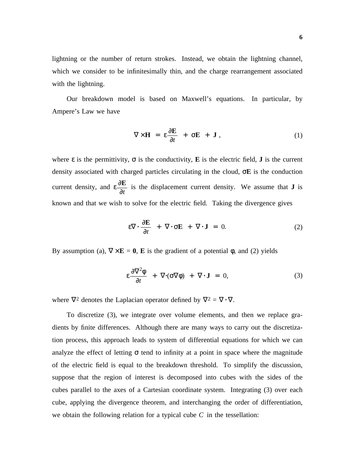lightning or the number of return strokes. Instead, we obtain the lightning channel, which we consider to be infinitesimally thin, and the charge rearrangement associated with the lightning.

Our breakdown model is based on Maxwell's equations. In particular, by Ampere's Law we have

$$
\nabla \times \mathbf{H} = \varepsilon \frac{\partial \mathbf{E}}{\partial t} + \sigma \mathbf{E} + \mathbf{J}, \qquad (1)
$$

where  $\varepsilon$  is the permittivity,  $\sigma$  is the conductivity, **E** is the electric field, **J** is the current density associated with charged particles circulating in the cloud, σ**E** is the conduction current density, and ε ∂*t*  $\frac{\partial E}{\partial \rho}$  is the displacement current density. We assume that **J** is known and that we wish to solve for the electric field. Taking the divergence gives

$$
\varepsilon \nabla \cdot \frac{\partial \mathbf{E}}{\partial t} + \nabla \cdot \sigma \mathbf{E} + \nabla \cdot \mathbf{J} = 0. \tag{2}
$$

By assumption (a),  $\nabla \times$ **E** = **0**, **E** is the gradient of a potential φ, and (2) yields

$$
\varepsilon \frac{\partial \nabla^2 \phi}{\partial t} + \nabla \cdot (\sigma \nabla \phi) + \nabla \cdot \mathbf{J} = 0, \tag{3}
$$

where  $\nabla^2$  denotes the Laplacian operator defined by  $\nabla^2 = \nabla \cdot \nabla$ .

To discretize (3), we integrate over volume elements, and then we replace gradients by finite differences. Although there are many ways to carry out the discretization process, this approach leads to system of differential equations for which we can analyze the effect of letting  $\sigma$  tend to infinity at a point in space where the magnitude of the electric field is equal to the breakdown threshold. To simplify the discussion, suppose that the region of interest is decomposed into cubes with the sides of the cubes parallel to the axes of a Cartesian coordinate system. Integrating (3) over each cube, applying the divergence theorem, and interchanging the order of differentiation, we obtain the following relation for a typical cube *C* in the tessellation: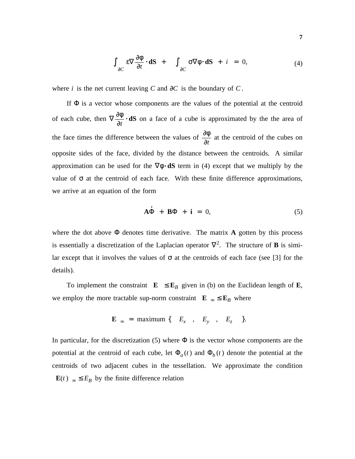$$
\int_{\partial C} \varepsilon \nabla \frac{\partial \phi}{\partial t} \cdot d\mathbf{S} + \int_{\partial C} \sigma \nabla \phi \cdot d\mathbf{S} + i = 0, \tag{4}
$$

where *i* is the net current leaving *C* and  $\partial C$  is the boundary of *C*.

If  $\Phi$  is a vector whose components are the values of the potential at the centroid of each cube, then ∇ ∂*t*  $\frac{\partial \phi}{\partial x} \cdot dS$  on a face of a cube is approximated by the the area of the face times the difference between the values of  $\frac{\partial \phi}{\partial t}$  at the centroid of the cubes on opposite sides of the face, divided by the distance between the centroids. A similar approximation can be used for the  $\nabla \phi \cdot dS$  term in (4) except that we multiply by the value of  $\sigma$  at the centroid of each face. With these finite difference approximations, we arrive at an equation of the form

$$
\dot{\mathbf{A}\Phi} + \mathbf{B}\Phi + \mathbf{i} = 0, \tag{5}
$$

where the dot above  $\Phi$  denotes time derivative. The matrix **A** gotten by this process is essentially a discretization of the Laplacian operator  $\nabla^2$ . The structure of **B** is similar except that it involves the values of  $\sigma$  at the centroids of each face (see [3] for the details).

To implement the constraint  $\|\mathbf{E}\| \leq \mathbf{E}_B$  given in (b) on the Euclidean length of **E**, we employ the more tractable sup-norm constraint  $\|\mathbf{E}\|_{\infty} \leq \mathbf{E}_B$  where

$$
\|\mathbf{E}\|_{\infty} = \text{maximum } \{ |E_x|, |E_y|, |E_z| \}.
$$

In particular, for the discretization (5) where  $\Phi$  is the vector whose components are the potential at the centroid of each cube, let  $\Phi_a(t)$  and  $\Phi_b(t)$  denote the potential at the centroids of two adjacent cubes in the tessellation. We approximate the condition  $\|\mathbf{E}(t)\|_{\infty} \leq E_B$  by the finite difference relation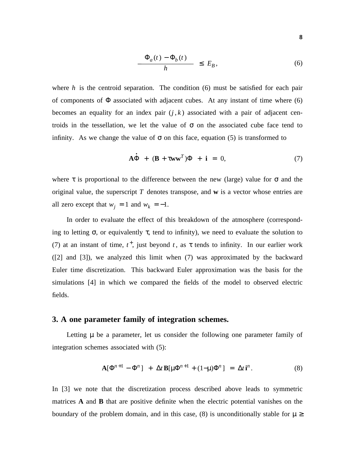$$
\frac{|\Phi_a(t) - \Phi_b(t)|}{h} \le E_B,
$$
\n(6)

where *h* is the centroid separation. The condition (6) must be satisfied for each pair of components of  $\Phi$  associated with adjacent cubes. At any instant of time where (6) becomes an equality for an index pair  $(j, k)$  associated with a pair of adjacent centroids in the tessellation, we let the value of  $\sigma$  on the associated cube face tend to infinity. As we change the value of  $\sigma$  on this face, equation (5) is transformed to

$$
\dot{\mathbf{A}\Phi} + (\mathbf{B} + \tau \mathbf{w}\mathbf{w}^T)\Phi + \mathbf{i} = 0,
$$
 (7)

where  $\tau$  is proportional to the difference between the new (large) value for  $\sigma$  and the original value, the superscript *T* denotes transpose, and **w** is a vector whose entries are all zero except that  $w_j = 1$  and  $w_k = -1$ .

In order to evaluate the effect of this breakdown of the atmosphere (corresponding to letting  $\sigma$ , or equivalently  $\tau$ , tend to infinity), we need to evaluate the solution to (7) at an instant of time,  $t^+$ , just beyond  $t$ , as  $\tau$  tends to infinity. In our earlier work ([2] and [3]), we analyzed this limit when (7) was approximated by the backward Euler time discretization. This backward Euler approximation was the basis for the simulations [4] in which we compared the fields of the model to observed electric fields.

## **3. A one parameter family of integration schemes.**

Letting  $\mu$  be a parameter, let us consider the following one parameter family of integration schemes associated with (5):

$$
\mathbf{A}[\Phi^{n+1} - \Phi^n] + \Delta t \mathbf{B}[\mu \Phi^{n+1} + (1-\mu)\Phi^n] = \Delta t \mathbf{i}^n. \tag{8}
$$

In [3] we note that the discretization process described above leads to symmetric matrices **A** and **B** that are positive definite when the electric potential vanishes on the boundary of the problem domain, and in this case, (8) is unconditionally stable for  $\mu \ge$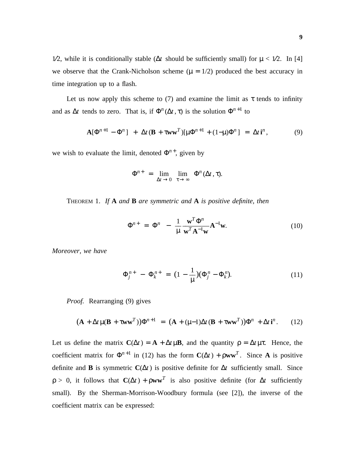1⁄2, while it is conditionally stable ( $\Delta t$  should be sufficiently small) for  $\mu < 1/2$ . In [4] we observe that the Crank-Nicholson scheme ( $\mu = 1/2$ ) produced the best accuracy in time integration up to a flash.

Let us now apply this scheme to (7) and examine the limit as  $\tau$  tends to infinity and as  $\Delta t$  tends to zero. That is, if  $\Phi^n(\Delta t, \tau)$  is the solution  $\Phi^{n+1}$  to

$$
\mathbf{A}[\Phi^{n+1} - \Phi^n] + \Delta t (\mathbf{B} + \tau \mathbf{w} \mathbf{w}^T) [\mu \Phi^{n+1} + (1-\mu)\Phi^n] = \Delta t \mathbf{i}^n, \tag{9}
$$

we wish to evaluate the limit, denoted  $\Phi^{n+}$ , given by

$$
\Phi^{n+} = \lim_{\Delta t \to 0} \lim_{\tau \to \infty} \Phi^n(\Delta t, \tau).
$$

THEOREM 1. *If* **A** *and* **B** *are symmetric and* **A** *is positive definite, then*

$$
\Phi^{n+} = \Phi^n - \frac{1}{\mu} \frac{\mathbf{w}^T \Phi^n}{\mathbf{w}^T \mathbf{A}^{-1} \mathbf{w}} \mathbf{A}^{-1} \mathbf{w}.
$$
 (10)

*Moreover, we have*

$$
\Phi_j^{n+} - \Phi_k^{n+} = (1 - \frac{1}{\mu})(\Phi_j^n - \Phi_k^n). \tag{11}
$$

*Proof.* Rearranging (9) gives

$$
(\mathbf{A} + \Delta t \mu (\mathbf{B} + \tau \mathbf{w} \mathbf{w}^T)) \Phi^{n+1} = (\mathbf{A} + (\mu - 1)\Delta t (\mathbf{B} + \tau \mathbf{w} \mathbf{w}^T)) \Phi^n + \Delta t \mathbf{i}^n.
$$
 (12)

Let us define the matrix  $C(\Delta t) = A + \Delta t \mu B$ , and the quantity  $\rho = \Delta t \mu \tau$ . Hence, the coefficient matrix for  $\Phi^{n+1}$  in (12) has the form  $\mathbf{C}(\Delta t) + \rho \mathbf{w}\mathbf{w}^T$ . Since A is positive definite and **B** is symmetric  $\mathbf{C}(\Delta t)$  is positive definite for  $\Delta t$  sufficiently small. Since  $\rho > 0$ , it follows that  $\mathbf{C}(\Delta t) + \rho \mathbf{w} \mathbf{w}^T$  is also positive definite (for  $\Delta t$  sufficiently small). By the Sherman-Morrison-Woodbury formula (see [2]), the inverse of the coefficient matrix can be expressed: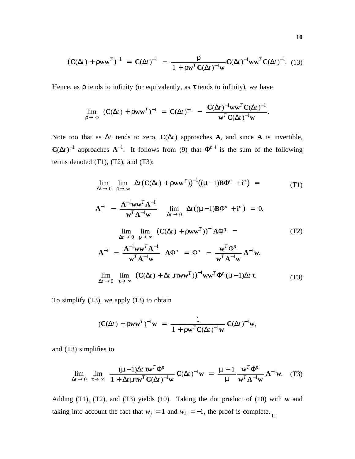$$
(\mathbf{C}(\Delta t) + \rho \mathbf{w} \mathbf{w}^T)^{-1} = \mathbf{C}(\Delta t)^{-1} - \frac{\rho}{1 + \rho \mathbf{w}^T \mathbf{C}(\Delta t)^{-1} \mathbf{w}} \mathbf{C}(\Delta t)^{-1} \mathbf{w} \mathbf{w}^T \mathbf{C}(\Delta t)^{-1}.
$$
 (13)

Hence, as  $\rho$  tends to infinity (or equivalently, as  $\tau$  tends to infinity), we have

$$
\lim_{\rho \to \infty} (\mathbf{C}(\Delta t) + \rho \mathbf{w} \mathbf{w}^T)^{-1} = \mathbf{C}(\Delta t)^{-1} - \frac{\mathbf{C}(\Delta t)^{-1} \mathbf{w} \mathbf{w}^T \mathbf{C}(\Delta t)^{-1}}{\mathbf{w}^T \mathbf{C}(\Delta t)^{-1} \mathbf{w}}.
$$

Note too that as  $\Delta t$  tends to zero,  $\mathbf{C}(\Delta t)$  approaches **A**, and since **A** is invertible,  $C(\Delta t)^{-1}$  approaches  $A^{-1}$ . It follows from (9) that  $\Phi^{n+}$  is the sum of the following terms denoted  $(T1)$ ,  $(T2)$ , and  $(T3)$ :

$$
\lim_{\Delta t \to 0} \lim_{\rho \to \infty} \Delta t \left( \mathbf{C}(\Delta t) + \rho \mathbf{w} \mathbf{w}^{T} \right)^{-1} ((\mu - 1) \mathbf{B} \Phi^{n} + \mathbf{i}^{n}) =
$$
(T1)  

$$
\left[ \mathbf{A}^{-1} - \frac{\mathbf{A}^{-1} \mathbf{w} \mathbf{w}^{T} \mathbf{A}^{-1}}{\mathbf{w}^{T} \mathbf{A}^{-1} \mathbf{w}} \right] \lim_{\Delta t \to 0} \Delta t ((\mu - 1) \mathbf{B} \Phi^{n} + \mathbf{i}^{n}) = 0.
$$
  

$$
\lim_{\Delta t \to 0} \lim_{\rho \to \infty} \left( \mathbf{C}(\Delta t) + \rho \mathbf{w} \mathbf{w}^{T} \right)^{-1} \mathbf{A} \Phi^{n} =
$$
(T2)  

$$
\left[ \mathbf{A}^{-1} - \frac{\mathbf{A}^{-1} \mathbf{w} \mathbf{w}^{T} \mathbf{A}^{-1}}{\mathbf{w}^{T} \mathbf{A}^{-1} \mathbf{w}} \right] \mathbf{A} \Phi^{n} = \Phi^{n} - \frac{\mathbf{w}^{T} \Phi^{n}}{\mathbf{w}^{T} \mathbf{A}^{-1} \mathbf{w}} \mathbf{A}^{-1} \mathbf{w}.
$$
  

$$
\lim_{\Delta t \to 0} \lim_{\tau \to \infty} \left( \mathbf{C}(\Delta t) + \Delta t \mu \tau \mathbf{w} \mathbf{w}^{T} \right)^{-1} \mathbf{w} \mathbf{w}^{T} \Phi^{n} (\mu - 1) \Delta t \tau.
$$
(T3)

To simplify (T3), we apply (13) to obtain

$$
(\mathbf{C}(\Delta t) + \rho \mathbf{w} \mathbf{w}^T)^{-1} \mathbf{w} = \frac{1}{1 + \rho \mathbf{w}^T \mathbf{C}(\Delta t)^{-1} \mathbf{w}} \mathbf{C}(\Delta t)^{-1} \mathbf{w},
$$

and (T3) simplifies to

$$
\lim_{\Delta t \to 0} \lim_{\tau \to \infty} \frac{(\mu - 1)\Delta t \tau \mathbf{w}^T \Phi^n}{1 + \Delta t \mu \tau \mathbf{w}^T \mathbf{C} (\Delta t)^{-1} \mathbf{w}} \mathbf{C} (\Delta t)^{-1} \mathbf{w} = \frac{\mu - 1}{\mu} \frac{\mathbf{w}^T \Phi^n}{\mathbf{w}^T \mathbf{A}^{-1} \mathbf{w}} \mathbf{A}^{-1} \mathbf{w}. \tag{T3}
$$

Adding (T1), (T2), and (T3) yields (10). Taking the dot product of (10) with **w** and taking into account the fact that  $w_j = 1$  and  $w_k = -1$ , the proof is complete.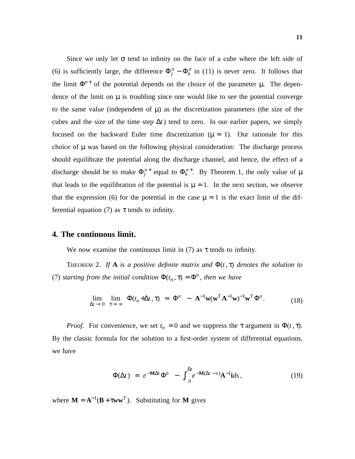Since we only let  $\sigma$  tend to infinity on the face of a cube where the left side of (6) is sufficiently large, the difference  $\Phi_j^n - \Phi_k^n$  in (11) is never zero. It follows that the limit  $\Phi^{n+}$  of the potential depends on the choice of the parameter  $\mu$ . The dependence of the limit on  $\mu$  is troubling since one would like to see the potential converge to the same value (independent of  $\mu$ ) as the discretization parameters (the size of the cubes and the size of the time step  $\Delta t$  ) tend to zero. In our earlier papers, we simply focused on the backward Euler time discretization ( $\mu = 1$ ). Our rationale for this choice of  $\mu$  was based on the following physical consideration: The discharge process should equilibrate the potential along the discharge channel, and hence, the effect of a discharge should be to make  $\Phi_j^{n+}$  equal to  $\Phi_k^{n+}$ . By Theorem 1, the only value of  $\mu$ that leads to the equilibration of the potential is  $\mu = 1$ . In the next section, we observe that the expression (6) for the potential in the case  $\mu = 1$  is the exact limit of the differential equation (7) as  $\tau$  tends to infinity.

### **4. The continuous limit.**

We now examine the continuous limit in (7) as  $\tau$  tends to infinity.

THEOREM 2. If **A** *is a positive definite matrix and*  $\Phi(t, \tau)$  *denotes the solution to* (7) *starting from the initial condition*  $\Phi(t_n, \tau) = \Phi^n$ , *then we have* 

$$
\lim_{\Delta t \to 0} \lim_{\tau \to \infty} \Phi(t_n + \Delta t, \tau) = \Phi^n - \mathbf{A}^{-1} \mathbf{w} (\mathbf{w}^T \mathbf{A}^{-1} \mathbf{w})^{-1} \mathbf{w}^T \Phi^n.
$$
 (18)

*Proof.* For convenience, we set  $t_n = 0$  and we suppress the  $\tau$  argument in  $\Phi(t, \tau)$ . By the classic formula for the solution to a first-order system of differential equations, we have

$$
\Phi(\Delta t) = e^{-\mathbf{M}\Delta t} \Phi^n - \int_0^{\Delta t} e^{-\mathbf{M}(\Delta t - s)} \mathbf{A}^{-1} \mathbf{i} ds, \qquad (19)
$$

where  $M = A^{-1}(B + \tau w w^T)$ . Substituting for M gives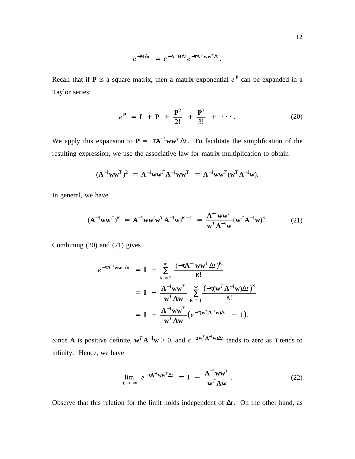$$
e^{-\mathbf{M}\Delta t} = e^{-\mathbf{A}^{-1}\mathbf{B}\Delta t}e^{-\tau \mathbf{A}^{-1}\mathbf{w}\mathbf{w}^T\Delta t}.
$$

Recall that if **P** is a square matrix, then a matrix exponential  $e^{\mathbf{P}}$  can be expanded in a Taylor series:

$$
e^{\mathbf{P}} = \mathbf{I} + \mathbf{P} + \frac{\mathbf{P}^2}{2!} + \frac{\mathbf{P}^3}{3!} + \cdots
$$
 (20)

We apply this expansion to  $P = -\tau A^{-1}ww^T\Delta t$ . To facilitate the simplification of the resulting expression, we use the associative law for matrix multiplication to obtain

$$
(\mathbf{A}^{-1}\mathbf{w}\mathbf{w}^T)^2 = \mathbf{A}^{-1}\mathbf{w}\mathbf{w}^T\mathbf{A}^{-1}\mathbf{w}\mathbf{w}^T = \mathbf{A}^{-1}\mathbf{w}\mathbf{w}^T(\mathbf{w}^T\mathbf{A}^{-1}\mathbf{w}).
$$

In general, we have

$$
(\mathbf{A}^{-1}\mathbf{w}\mathbf{w}^T)^{\kappa} = \mathbf{A}^{-1}\mathbf{w}\mathbf{w}^{\kappa}\mathbf{w}^T\mathbf{A}^{-1}\mathbf{w})^{\kappa-1} = \frac{\mathbf{A}^{-1}\mathbf{w}\mathbf{w}^T}{\mathbf{w}^T\mathbf{A}^{-1}\mathbf{w}}(\mathbf{w}^T\mathbf{A}^{-1}\mathbf{w})^{\kappa}.
$$
 (21)

Combining (20) and (21) gives

$$
e^{-\tau \mathbf{A}^{-1} \mathbf{w} \mathbf{w}^T \Delta t} = \mathbf{I} + \sum_{\kappa=1}^{\infty} \frac{(-\tau \mathbf{A}^{-1} \mathbf{w} \mathbf{w}^T \Delta t)^{\kappa}}{\kappa!}
$$
  
=  $\mathbf{I} + \frac{\mathbf{A}^{-1} \mathbf{w} \mathbf{w}^T}{\mathbf{w}^T \mathbf{A} \mathbf{w}} \sum_{\kappa=1}^{\infty} \frac{(-\tau (\mathbf{w}^T \mathbf{A}^{-1} \mathbf{w}) \Delta t)^{\kappa}}{\kappa!}$   
=  $\mathbf{I} + \frac{\mathbf{A}^{-1} \mathbf{w} \mathbf{w}^T}{\mathbf{w}^T \mathbf{A} \mathbf{w}} (e^{-\tau (\mathbf{w}^T \mathbf{A}^{-1} \mathbf{w}) \Delta t} - 1).$ 

Since **A** is positive definite,  $\mathbf{w}^T \mathbf{A}^{-1} \mathbf{w} > 0$ , and  $e^{-\tau (\mathbf{w}^T \mathbf{A}^{-1} \mathbf{w}) \Delta t}$  tends to zero as  $\tau$  tends to infinity. Hence, we have

$$
\lim_{\tau \to \infty} e^{-\tau A^{-1}WW^{T}\Delta t} = \mathbf{I} - \frac{A^{-1}WW^{T}}{W^{T}Aw}.
$$
 (22)

Observe that this relation for the limit holds independent of ∆*t* . On the other hand, as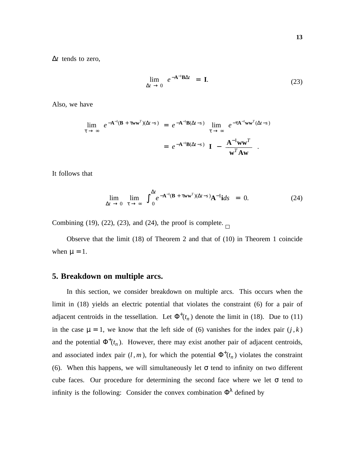**13**

∆*t* tends to zero,

$$
\lim_{\Delta t \to 0} e^{-A^{-1}B\Delta t} = I.
$$
\n(23)

Also, we have

$$
\lim_{\tau \to \infty} e^{-A^{-1}(B + \tau w w^T)(\Delta t - s)} = e^{-A^{-1}B(\Delta t - s)} \lim_{\tau \to \infty} e^{-\tau A^{-1}w w^T(\Delta t - s)}
$$

$$
= e^{-A^{-1}B(\Delta t - s)} \left[ I - \frac{A^{-1}w w^T}{w^T A w} \right].
$$

It follows that

$$
\lim_{\Delta t \to 0} \lim_{\tau \to \infty} \int_{0}^{\Delta t} e^{-\mathbf{A}^{-1}(\mathbf{B} + \tau \mathbf{w} \mathbf{w}^T)(\Delta t - s)} \mathbf{A}^{-1} \mathbf{i} ds = 0.
$$
 (24)

Combining (19), (22), (23), and (24), the proof is complete.  $\Box$ 

Observe that the limit (18) of Theorem 2 and that of (10) in Theorem 1 coincide when  $\mu = 1$ .

### **5. Breakdown on multiple arcs.**

In this section, we consider breakdown on multiple arcs. This occurs when the limit in (18) yields an electric potential that violates the constraint (6) for a pair of adjacent centroids in the tessellation. Let  $\Phi^+(t_n)$  denote the limit in (18). Due to (11) in the case  $\mu = 1$ , we know that the left side of (6) vanishes for the index pair  $(j, k)$ and the potential  $\Phi^+(t_n)$ . However, there may exist another pair of adjacent centroids, and associated index pair  $(l, m)$ , for which the potential  $\Phi^+(t_n)$  violates the constraint (6). When this happens, we will simultaneously let  $\sigma$  tend to infinity on two different cube faces. Our procedure for determining the second face where we let  $\sigma$  tend to infinity is the following: Consider the convex combination  $\Phi^{\lambda}$  defined by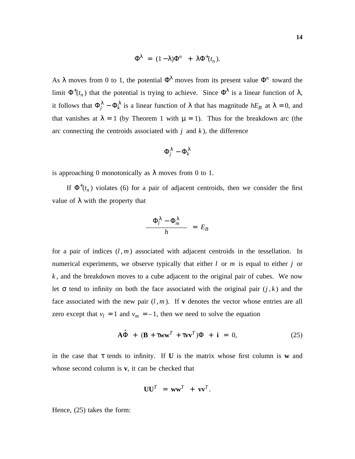$$
\Phi^{\lambda} = (1 - \lambda)\Phi^{n} + \lambda \Phi^{+}(t_{n}).
$$

As  $\lambda$  moves from 0 to 1, the potential  $\Phi^{\lambda}$  moves from its present value  $\Phi^{n}$  toward the limit  $\Phi^+(t_n)$  that the potential is trying to achieve. Since  $\Phi^{\lambda}$  is a linear function of  $\lambda$ , it follows that  $\Phi_j^{\lambda} - \Phi_k^{\lambda}$  is a linear function of  $\lambda$  that has magnitude  $hE_B$  at  $\lambda = 0$ , and that vanishes at  $\lambda = 1$  (by Theorem 1 with  $\mu = 1$ ). Thus for the breakdown arc (the arc connecting the centroids associated with *j* and *k* ), the difference

$$
\Phi_j^\lambda - \Phi_k^\lambda
$$

is approaching 0 monotonically as  $\lambda$  moves from 0 to 1.

If  $\Phi^+(t_n)$  violates (6) for a pair of adjacent centroids, then we consider the first value of λ with the property that

$$
\frac{|\Phi_l^{\lambda} - \Phi_m^{\lambda}|}{h} = E_B
$$

for a pair of indices  $(l, m)$  associated with adjacent centroids in the tessellation. In numerical experiments, we observe typically that either *l* or *m* is equal to either *j* or *k* , and the breakdown moves to a cube adjacent to the original pair of cubes. We now let  $\sigma$  tend to infinity on both the face associated with the original pair  $(j, k)$  and the face associated with the new pair  $(l, m)$ . If **v** denotes the vector whose entries are all zero except that  $v_l = 1$  and  $v_m = -1$ , then we need to solve the equation

$$
\dot{\mathbf{A}\Phi} + (\mathbf{B} + \tau \mathbf{w}\mathbf{w}^T + \tau \mathbf{v}\mathbf{v}^T)\Phi + \mathbf{i} = 0,
$$
 (25)

in the case that  $\tau$  tends to infinity. If **U** is the matrix whose first column is **w** and whose second column is **v**, it can be checked that

$$
UU^T = ww^T + vv^T.
$$

Hence, (25) takes the form: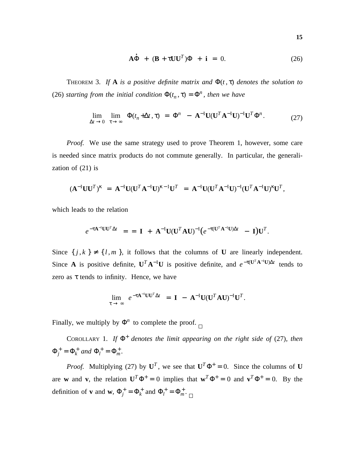$$
\dot{\mathbf{A}\Phi} + (\mathbf{B} + \tau \mathbf{U}\mathbf{U}^T)\Phi + \mathbf{i} = 0. \tag{26}
$$

THEOREM 3. If **A** is a positive definite matrix and  $\Phi(t, \tau)$  denotes the solution to (26) *starting from the initial condition*  $\Phi(t_n, \tau) = \Phi^n$ , *then we have* 

$$
\lim_{\Delta t \to 0} \lim_{\tau \to \infty} \Phi(t_n + \Delta t, \tau) = \Phi^n - \mathbf{A}^{-1} \mathbf{U} (\mathbf{U}^T \mathbf{A}^{-1} \mathbf{U})^{-1} \mathbf{U}^T \Phi^n.
$$
 (27)

*Proof.* We use the same strategy used to prove Theorem 1, however, some care is needed since matrix products do not commute generally. In particular, the generalization of (21) is

$$
(\mathbf{A}^{-1} \mathbf{U} \mathbf{U}^T)^{\kappa} = \mathbf{A}^{-1} \mathbf{U} (\mathbf{U}^T \mathbf{A}^{-1} \mathbf{U})^{\kappa-1} \mathbf{U}^T = \mathbf{A}^{-1} \mathbf{U} (\mathbf{U}^T \mathbf{A}^{-1} \mathbf{U})^{-1} (\mathbf{U}^T \mathbf{A}^{-1} \mathbf{U})^{\kappa} \mathbf{U}^T,
$$

which leads to the relation

$$
e^{-\tau \mathbf{A}^{-1} \mathbf{U} \mathbf{U}^T \Delta t} = \mathbf{I} + \mathbf{A}^{-1} \mathbf{U} (\mathbf{U}^T \mathbf{A} \mathbf{U})^{-1} (e^{-\tau (\mathbf{U}^T \mathbf{A}^{-1} \mathbf{U}) \Delta t} - \mathbf{I}) \mathbf{U}^T.
$$

Since  $\{j, k\} \neq \{l, m\}$ , it follows that the columns of **U** are linearly independent. Since **A** is positive definite,  $U^T A^{-1}U$  is positive definite, and  $e^{-\tau(U^T A^{-1}U)\Delta t}$  tends to zero as  $\tau$  tends to infinity. Hence, we have

$$
\lim_{\tau \to \infty} e^{-\tau \mathbf{A}^{-1} \mathbf{U} \mathbf{U}^T \Delta t} = \mathbf{I} - \mathbf{A}^{-1} \mathbf{U} (\mathbf{U}^T \mathbf{A} \mathbf{U})^{-1} \mathbf{U}^T.
$$

Finally, we multiply by  $\Phi^n$  to complete the proof.

COROLLARY 1. If  $\Phi^+$  denotes the limit appearing on the right side of (27), then  $\Phi_j^+ = \Phi_k^+$  and  $\Phi_l^+ = \Phi_m^+$ .

*Proof.* Multiplying (27) by  $U^T$ , we see that  $U^T \Phi^+ = 0$ . Since the columns of U are **w** and **v**, the relation  $U^T \Phi^+ = 0$  implies that  $w^T \Phi^+ = 0$  and  $v^T \Phi^+ = 0$ . By the definition of **v** and **w**,  $\Phi_j^+ = \Phi_k^+$  and  $\Phi_l^+ = \Phi_m^+$ .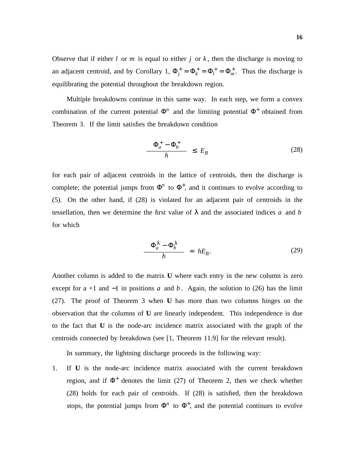Observe that if either  $l$  or  $m$  is equal to either  $j$  or  $k$ , then the discharge is moving to an adjacent centroid, and by Corollary 1,  $\Phi_j^+ = \Phi_k^+ = \Phi_l^+ = \Phi_m^+$ . Thus the discharge is equilibrating the potential throughout the breakdown region.

Multiple breakdowns continue in this same way. In each step, we form a convex combination of the current potential  $\Phi^n$  and the limiting potential  $\Phi^+$  obtained from Theorem 3. If the limit satisfies the breakdown condition

$$
\frac{|\Phi_a^+ - \Phi_b^+|}{h} \le E_B \tag{28}
$$

for each pair of adjacent centroids in the lattice of centroids, then the discharge is complete; the potential jumps from  $\Phi^n$  to  $\Phi^+$ , and it continues to evolve according to (5). On the other hand, if (28) is violated for an adjacent pair of centroids in the tessellation, then we determine the first value of  $\lambda$  and the associated indices *a* and *b* for which

$$
\frac{|\Phi_a^{\lambda} - \Phi_b^{\lambda}|}{h} = hE_B.
$$
 (29)

Another column is added to the matrix **U** where each entry in the new column is zero except for a +1 and  $-1$  in positions *a* and *b*. Again, the solution to (26) has the limit (27). The proof of Theorem 3 when **U** has more than two columns hinges on the observation that the columns of **U** are linearly independent. This independence is due to the fact that **U** is the node-arc incidence matrix associated with the graph of the centroids connected by breakdown (see [1, Theorem 11.9] for the relevant result).

In summary, the lightning discharge proceeds in the following way:

1. If **U** is the node-arc incidence matrix associated with the current breakdown region, and if  $\Phi^+$  denotes the limit (27) of Theorem 2, then we check whether (28) holds for each pair of centroids. If (28) is satisfied, then the breakdown stops, the potential jumps from  $\Phi^n$  to  $\Phi^+$ , and the potential continues to evolve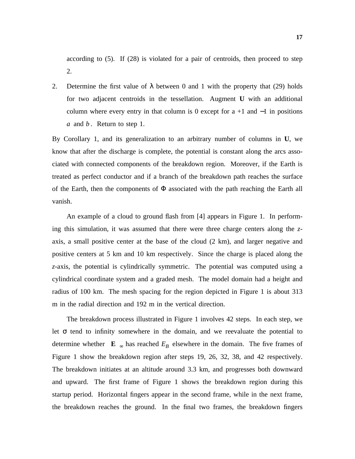according to (5). If (28) is violated for a pair of centroids, then proceed to step 2.

2. Determine the first value of  $\lambda$  between 0 and 1 with the property that (29) holds for two adjacent centroids in the tessellation. Augment **U** with an additional column where every entry in that column is 0 except for  $a + 1$  and  $-1$  in positions *a* and *b* . Return to step 1.

By Corollary 1, and its generalization to an arbitrary number of columns in **U**, we know that after the discharge is complete, the potential is constant along the arcs associated with connected components of the breakdown region. Moreover, if the Earth is treated as perfect conductor and if a branch of the breakdown path reaches the surface of the Earth, then the components of  $\Phi$  associated with the path reaching the Earth all vanish.

An example of a cloud to ground flash from [4] appears in Figure 1. In performing this simulation, it was assumed that there were three charge centers along the *z*axis, a small positive center at the base of the cloud (2 km), and larger negative and positive centers at 5 km and 10 km respectively. Since the charge is placed along the *z*-axis, the potential is cylindrically symmetric. The potential was computed using a cylindrical coordinate system and a graded mesh. The model domain had a height and radius of 100 km. The mesh spacing for the region depicted in Figure 1 is about 313 m in the radial direction and 192 m in the vertical direction.

The breakdown process illustrated in Figure 1 involves 42 steps. In each step, we let  $\sigma$  tend to infinity somewhere in the domain, and we reevaluate the potential to determine whether  $\|\mathbf{E}\|_{\infty}$  has reached  $E_B$  elsewhere in the domain. The five frames of Figure 1 show the breakdown region after steps 19, 26, 32, 38, and 42 respectively. The breakdown initiates at an altitude around 3.3 km, and progresses both downward and upward. The first frame of Figure 1 shows the breakdown region during this startup period. Horizontal fingers appear in the second frame, while in the next frame, the breakdown reaches the ground. In the final two frames, the breakdown fingers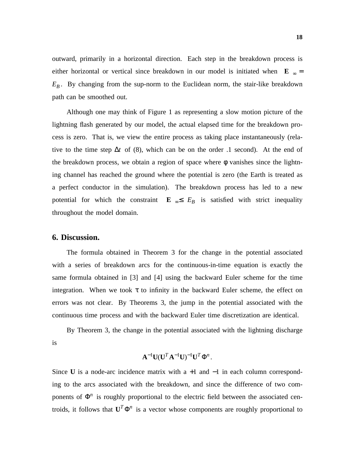outward, primarily in a horizontal direction. Each step in the breakdown process is either horizontal or vertical since breakdown in our model is initiated when  $\|\mathbf{E}\|_{\infty} =$ *EB* . By changing from the sup-norm to the Euclidean norm, the stair-like breakdown path can be smoothed out.

Although one may think of Figure 1 as representing a slow motion picture of the lightning flash generated by our model, the actual elapsed time for the breakdown process is zero. That is, we view the entire process as taking place instantaneously (relative to the time step ∆*t* of (8), which can be on the order .1 second). At the end of the breakdown process, we obtain a region of space where  $\phi$  vanishes since the lightning channel has reached the ground where the potential is zero (the Earth is treated as a perfect conductor in the simulation). The breakdown process has led to a new potential for which the constraint  $\|\mathbf{E}\|_{\infty} \leq E_B$  is satisfied with strict inequality throughout the model domain.

### **6. Discussion.**

The formula obtained in Theorem 3 for the change in the potential associated with a series of breakdown arcs for the continuous-in-time equation is exactly the same formula obtained in [3] and [4] using the backward Euler scheme for the time integration. When we took  $\tau$  to infinity in the backward Euler scheme, the effect on errors was not clear. By Theorems 3, the jump in the potential associated with the continuous time process and with the backward Euler time discretization are identical.

By Theorem 3, the change in the potential associated with the lightning discharge is

$$
\mathbf{A}^{-1}\mathbf{U}(\mathbf{U}^T\mathbf{A}^{-1}\mathbf{U})^{-1}\mathbf{U}^T\mathbf{\Phi}^n.
$$

Since **U** is a node-arc incidence matrix with a +1 and −1 in each column corresponding to the arcs associated with the breakdown, and since the difference of two components of  $\Phi^n$  is roughly proportional to the electric field between the associated centroids, it follows that  $U^T \Phi^n$  is a vector whose components are roughly proportional to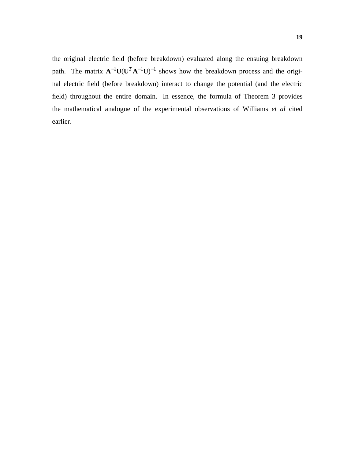the original electric field (before breakdown) evaluated along the ensuing breakdown path. The matrix  $A^{-1}U(U^{T}A^{-1}U)^{-1}$  shows how the breakdown process and the original electric field (before breakdown) interact to change the potential (and the electric field) throughout the entire domain. In essence, the formula of Theorem 3 provides the mathematical analogue of the experimental observations of Williams *et al* cited earlier.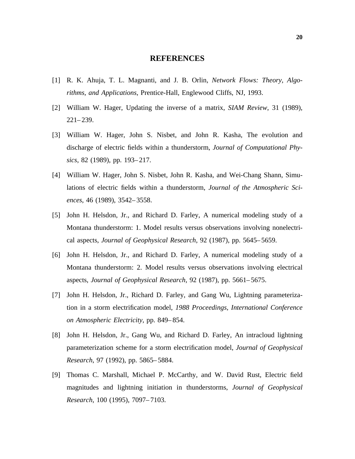### **REFERENCES**

- [1] R. K. Ahuja, T. L. Magnanti, and J. B. Orlin, *Network Flows: Theory, Algorithms, and Applications*, Prentice-Hall, Englewood Cliffs, NJ, 1993.
- [2] William W. Hager, Updating the inverse of a matrix, *SIAM Review*, 31 (1989), 221–239.
- [3] William W. Hager, John S. Nisbet, and John R. Kasha, The evolution and discharge of electric fields within a thunderstorm, *Journal of Computational Physics*, 82 (1989), pp. 193–217.
- [4] William W. Hager, John S. Nisbet, John R. Kasha, and Wei-Chang Shann, Simulations of electric fields within a thunderstorm, *Journal of the Atmospheric Sciences*, 46 (1989), 3542–3558.
- [5] John H. Helsdon, Jr., and Richard D. Farley, A numerical modeling study of a Montana thunderstorm: 1. Model results versus observations involving nonelectrical aspects, *Journal of Geophysical Research*, 92 (1987), pp. 5645–5659.
- [6] John H. Helsdon, Jr., and Richard D. Farley, A numerical modeling study of a Montana thunderstorm: 2. Model results versus observations involving electrical aspects, *Journal of Geophysical Research*, 92 (1987), pp. 5661–5675.
- [7] John H. Helsdon, Jr., Richard D. Farley, and Gang Wu, Lightning parameterization in a storm electrification model, *1988 Proceedings, International Conference on Atmospheric Electricity*, pp. 849–854.
- [8] John H. Helsdon, Jr., Gang Wu, and Richard D. Farley, An intracloud lightning parameterization scheme for a storm electrification model, *Journal of Geophysical Research*, 97 (1992), pp. 5865–5884.
- [9] Thomas C. Marshall, Michael P. McCarthy, and W. David Rust, Electric field magnitudes and lightning initiation in thunderstorms, *Journal of Geophysical Research,* 100 (1995), 7097–7103.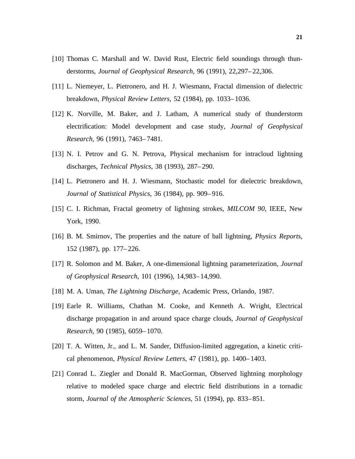- [10] Thomas C. Marshall and W. David Rust, Electric field soundings through thunderstorms, *Journal of Geophysical Research,* 96 (1991), 22,297–22,306.
- [11] L. Niemeyer, L. Pietronero, and H. J. Wiesmann, Fractal dimension of dielectric breakdown, *Physical Review Letters*, 52 (1984), pp. 1033–1036.
- [12] K. Norville, M. Baker, and J. Latham, A numerical study of thunderstorm electrification: Model development and case study, *Journal of Geophysical Research,* 96 (1991), 7463–7481.
- [13] N. I. Petrov and G. N. Petrova, Physical mechanism for intracloud lightning discharges, *Technical Physics*, 38 (1993), 287–290.
- [14] L. Pietronero and H. J. Wiesmann, Stochastic model for dielectric breakdown, *Journal of Statistical Physics*, 36 (1984), pp. 909–916.
- [15] C. I. Richman, Fractal geometry of lightning strokes, *MILCOM 90*, IEEE, New York, 1990.
- [16] B. M. Smirnov, The properties and the nature of ball lightning, *Physics Reports*, 152 (1987), pp. 177–226.
- [17] R. Solomon and M. Baker, A one-dimensional lightning parameterization, *Journal of Geophysical Research,* 101 (1996), 14,983–14,990.
- [18] M. A. Uman, *The Lightning Discharge*, Academic Press, Orlando, 1987.
- [19] Earle R. Williams, Chathan M. Cooke, and Kenneth A. Wright, Electrical discharge propagation in and around space charge clouds, *Journal of Geophysical Research,* 90 (1985), 6059–1070.
- [20] T. A. Witten, Jr., and L. M. Sander, Diffusion-limited aggregation, a kinetic critical phenomenon, *Physical Review Letters*, 47 (1981), pp. 1400–1403.
- [21] Conrad L. Ziegler and Donald R. MacGorman, Observed lightning morphology relative to modeled space charge and electric field distributions in a tornadic storm, *Journal of the Atmospheric Sciences*, 51 (1994), pp. 833–851.